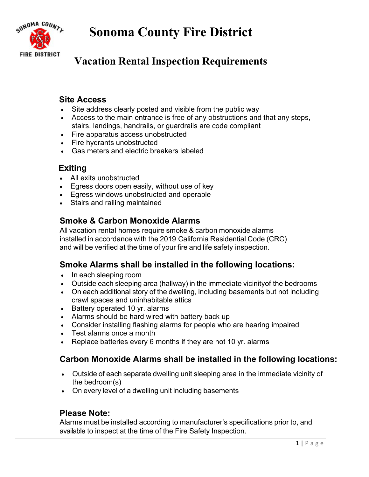**Sonoma County Fire District**



# **Vacation Rental Inspection Requirements**

#### **Site Access**

- Site address clearly posted and visible from the public way
- Access to the main entrance is free of any obstructions and that any steps, stairs, landings, handrails, or guardrails are code compliant
- Fire apparatus access unobstructed
- Fire hydrants unobstructed
- Gas meters and electric breakers labeled

### **Exiting**

- All exits unobstructed
- Egress doors open easily, without use of key
- Egress windows unobstructed and operable
- Stairs and railing maintained

## **Smoke & Carbon Monoxide Alarms**

All vacation rental homes require smoke & carbon monoxide alarms installed in accordance with the 2019 California Residential Code (CRC) and will be verified at the time of your fire and life safety inspection.

### **Smoke Alarms shall be installed in the following locations:**

- In each sleeping room
- Outside each sleeping area (hallway) in the immediate vicinityof the bedrooms
- On each additional story of the dwelling, including basements but not including crawl spaces and uninhabitable attics
- Battery operated 10 yr. alarms
- Alarms should be hard wired with battery back up
- Consider installing flashing alarms for people who are hearing impaired
- Test alarms once a month
- Replace batteries every 6 months if they are not 10 yr. alarms

## **Carbon Monoxide Alarms shall be installed in the following locations:**

- Outside of each separate dwelling unit sleeping area in the immediate vicinity of the bedroom(s)
- On every level of a dwelling unit including basements

### **Please Note:**

Alarms must be installed according to manufacturer's specifications prior to, and available to inspect at the time of the Fire Safety Inspection.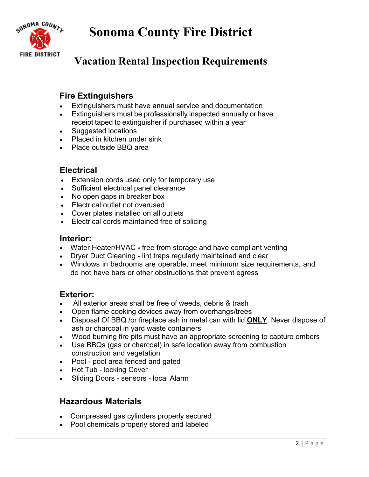**Sonoma County Fire District**



# **Vacation Rental Inspection Requirements**

## **Fire Extinguishers**

- Extinguishers must have annual service and documentation
- Extinguishers must be professionally inspected annually or have receipt taped to extinguisher if purchased within a year
- Suggested locations
- Placed in kitchen under sink
- Place outside BBQ area

### **Electrical**

- Extension cords used only for temporary use
- Sufficient electrical panel clearance
- No open gaps in breaker box
- Electrical outlet not overused
- Cover plates installed on all outlets
- Electrical cords maintained free of splicing

#### **Interior:**

- Water Heater/HVAC **-** free from storage and have compliant venting
- Dryer Duct Cleaninglint traps regularly maintained and clear
- Windows in bedrooms are operable, meet minimum size requirements, and do not have bars or other obstructions that prevent egress

## **Exterior:**

- All exterior areas shall be free of weeds, debris & trash
- Open flame cooking devices away from overhangs/trees
- Disposal Of BBQ /or fireplace ash in metal can with lid **ONLY**. Never dispose of ash or charcoal in yard waste containers
- Wood burning fire pits must have an appropriate screening to capture embers
- Use BBQs (gas or charcoal) in safe location away from combustion construction and vegetation
- Pool pool area fenced and gated
- Hot Tub locking Cover
- Sliding Doors sensors local Alarm

## **Hazardous Materials**

- Compressed gas cylinders properly secured
- Pool chemicals properly stored and labeled